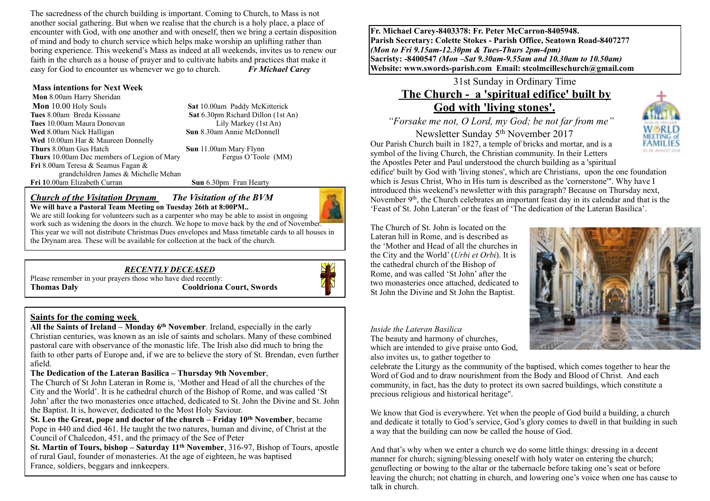The sacredness of the church building is important. Coming to Church, to Mass is not another social gathering. But when we realise that the church is a holy place, a place of encounter with God, with one another and with oneself, then we bring a certain disposition of mind and body to church service which helps make worship an uplifting rather than boring experience. This weekend's Mass as indeed at all weekends, invites us to renew our faith in the church as a house of prayer and to cultivate habits and practices that make it easy for God to encounter us whenever we go to church. *Fr Michael Carey*

#### **Mass intentions for Next Week**

 **Mon** 8.00am Harry Sheridan **Mon** 10.00 Holy Souls **Sat 10.00am Paddy McKitterick**<br> **Sat 6.30pm Richard Dillon (1st A** Set 6.30pm Richard Dillon (1st A **Tues** 10.00am Maura Donovan Lily Markey (1st An) **Wed** 8.00am Nick Halligan **Sun** 8.30am Annie McDonnell **Wed** 10.00am Har & Maureen Donnelly **Thurs** 8.00am Gus Hatch **Sun** 11.00am Mary Flynn<br> **Thurs** 10.00am Dec members of Legion of Mary **Freque Of Thurs** C Toole (MM) **Thurs** 10.00am Dec members of Legion of Mary **Fri** 8.00am Teresa & Seamus Fagan & grandchildren James & Michelle Mehan **Fri 1**0.00am Elizabeth Curran **Sun** 6.30pm Fran Hearty

**Sat** 6.30pm Richard Dillon (1st An)

*Church of the Visitation Drynam**The Visitation of the BVM*

**We will have a Pastoral Team Meeting on Tuesday 26th at 8:00PM..**  We are still looking for volunteers such as a carpenter who may be able to assist in ongoing work such as widening the doors in the church. We hope to move back by the end of November. This year we will not distribute Christmas Dues envelopes and Mass timetable cards to all houses in the Drynam area. These will be available for collection at the back of the church.

#### *RECENTLY DECEASED*

Please remember in your prayers those who have died recently: **Thomas Daly Cooldriona Court, Swords**



#### **Saints for the coming week**

**All the Saints of Ireland – Monday 6th November**. Ireland, especially in the early Christian centuries, was known as an isle of saints and scholars. Many of these combined pastoral care with observance of the monastic life. The Irish also did much to bring the faith to other parts of Europe and, if we are to believe the story of St. Brendan, even further afield.

#### **The Dedication of the Lateran Basilica – Thursday 9th November**,

The Church of St John Lateran in Rome is, 'Mother and Head of all the churches of the City and the World'. It is he cathedral church of the Bishop of Rome, and was called 'St John' after the two monasteries once attached, dedicated to St. John the Divine and St. John the Baptist. It is, however, dedicated to the Most Holy Saviour.

**St. Leo the Great, pope and doctor of the church – Friday 10th November**, became Pope in 440 and died 461. He taught the two natures, human and divine, of Christ at the Council of Chalcedon, 451, and the primacy of the See of Peter

**St. Martin of Tours, bishop – Saturday 11th November**, 316-97, Bishop of Tours, apostle of rural Gaul, founder of monasteries. At the age of eighteen, he was baptised France, soldiers, beggars and innkeepers.

**Fr. Michael Carey-8403378: Fr. Peter McCarron-8405948. Parish Secretary: Colette Stokes - Parish Office, Seatown Road-8407277**  *(Mon to Fri 9.15am-12.30pm & Tues-Thurs 2pm-4pm)*  **Sacristy: -8400547** *(Mon –Sat 9.30am-9.55am and 10.30am to 10.50am)* **Website: [www.swords-parish.com Email:](http://www.swords-parish.com%20%20email) stcolmcilleschurch@gmail.com**

# 31st Sunday in Ordinary Time  **The Church - a 'spiritual edifice' built by God with 'living stones'.**

 *"Forsake me not, O Lord, my God; be not far from me"* 

Newsletter Sunday 5th November 2017 Our Parish Church built in 1827, a temple of bricks and mortar, and is a symbol of the living Church, the Christian community. In their Letters

the Apostles Peter and Paul understood the church building as a 'spiritual edifice' built by God with 'living stones', which are Christians, upon the one foundation which is Jesus Christ. Who in His turn is described as the 'cornerstone'". Why have I introduced this weekend's newsletter with this paragraph? Because on Thursday next, November 9<sup>th</sup>, the Church celebrates an important feast day in its calendar and that is the 'Feast of St. John Lateran' or the feast of 'The dedication of the Lateran Basilica'.

The Church of St. John is located on the Lateran hill in Rome, and is described as the 'Mother and Head of all the churches in the City and the World' (*Urbi et Orbi*). It is the cathedral church of the Bishop of Rome, and was called 'St John' after the two monasteries once attached, dedicated to St John the Divine and St John the Baptist.



**FAMILIES** 

*Inside the Lateran Basilica* 

The beauty and harmony of churches, which are intended to give praise unto God, also invites us, to gather together to

celebrate the Liturgy as the community of the baptised, which comes together to hear the Word of God and to draw nourishment from the Body and Blood of Christ. And each community, in fact, has the duty to protect its own sacred buildings, which constitute a precious religious and historical heritage".

We know that God is everywhere. Yet when the people of God build a building, a church and dedicate it totally to God's service, God's glory comes to dwell in that building in such a way that the building can now be called the house of God.

And that's why when we enter a church we do some little things: dressing in a decent manner for church; signing/blessing oneself with holy water on entering the church; genuflecting or bowing to the altar or the tabernacle before taking one's seat or before leaving the church; not chatting in church, and lowering one's voice when one has cause to talk in church.